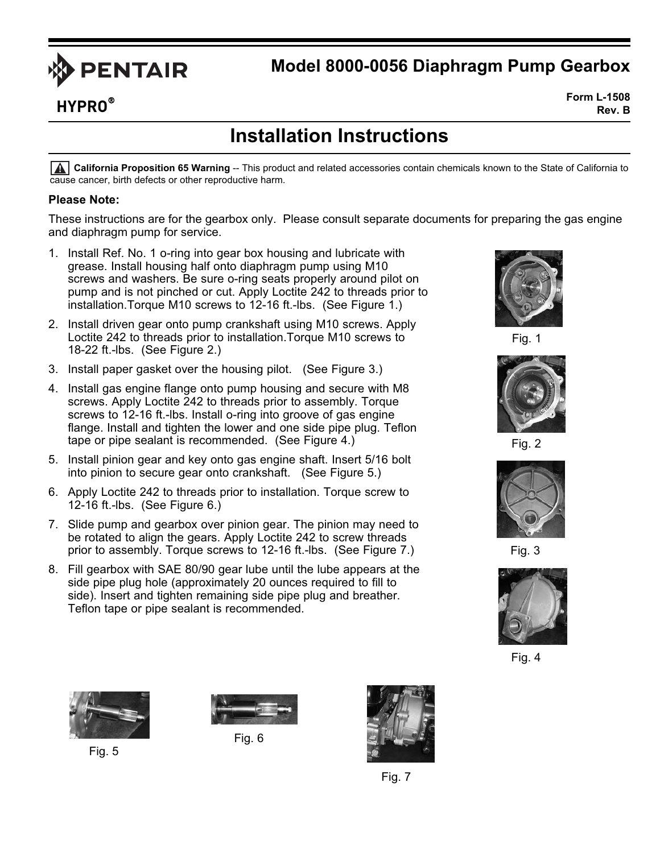

## **Model 8000-0056 Diaphragm Pump Gearbox**

**HYPRO**®

**Form L-1508 Rev. B**

## **Installation Instructions**

**California Proposition 65 Warning** -- This product and related accessories contain chemicals known to the State of California to cause cancer, birth defects or other reproductive harm.

## **Please Note:**

These instructions are for the gearbox only. Please consult separate documents for preparing the gas engine and diaphragm pump for service.

- 1. Install Ref. No. 1 o-ring into gear box housing and lubricate with grease. Install housing half onto diaphragm pump using M10 screws and washers. Be sure o-ring seats properly around pilot on pump and is not pinched or cut. Apply Loctite 242 to threads prior to installation.Torque M10 screws to 12-16 ft.-lbs. (See Figure 1.)
- 2. Install driven gear onto pump crankshaft using M10 screws. Apply Loctite 242 to threads prior to installation.Torque M10 screws to 18-22 ft.-lbs. (See Figure 2.)
- 3. Install paper gasket over the housing pilot. (See Figure 3.)
- 4. Install gas engine flange onto pump housing and secure with M8 screws. Apply Loctite 242 to threads prior to assembly. Torque screws to 12-16 ft.-lbs. Install o-ring into groove of gas engine flange. Install and tighten the lower and one side pipe plug. Teflon tape or pipe sealant is recommended. (See Figure 4.)
- 5. Install pinion gear and key onto gas engine shaft. Insert 5/16 bolt into pinion to secure gear onto crankshaft. (See Figure 5.)
- 6. Apply Loctite 242 to threads prior to installation. Torque screw to 12-16 ft.-lbs. (See Figure 6.)
- 7. Slide pump and gearbox over pinion gear. The pinion may need to be rotated to align the gears. Apply Loctite 242 to screw threads prior to assembly. Torque screws to 12-16 ft.-lbs. (See Figure 7.)
- 8. Fill gearbox with SAE 80/90 gear lube until the lube appears at the side pipe plug hole (approximately 20 ounces required to fill to side). Insert and tighten remaining side pipe plug and breather. Teflon tape or pipe sealant is recommended.



Fig. 1



Fig. 2



Fig. 3



Fig. 4



Fig. 5



Fig. 6